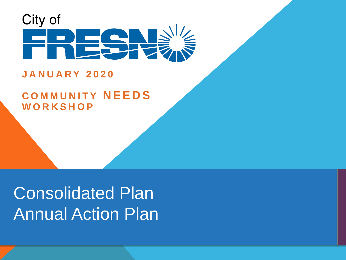

#### **JANUARY 2020**

#### **COMMUNITY NEEDS WORKSHOP**

# Consolidated Plan Annual Action Plan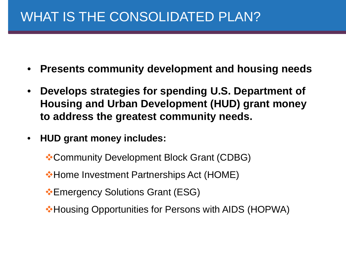### WHAT IS THE CONSOLIDATED PLAN?

- **Presents community development and housing needs**
- **Develops strategies for spending U.S. Department of Housing and Urban Development (HUD) grant money to address the greatest community needs.**
- **HUD grant money includes:**
	- Community Development Block Grant (CDBG)
	- **\*Home Investment Partnerships Act (HOME)**
	- **Emergency Solutions Grant (ESG)**
	- Housing Opportunities for Persons with AIDS (HOPWA)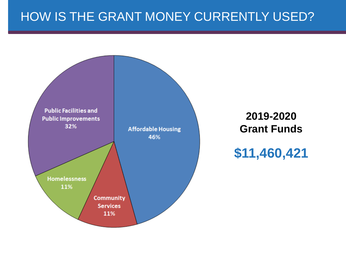#### HOW IS THE GRANT MONEY CURRENTLY USED?

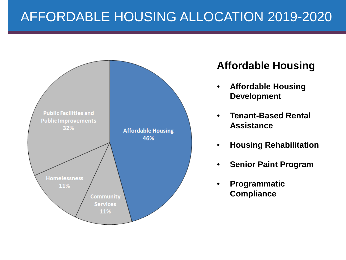### AFFORDABLE HOUSING ALLOCATION 2019-2020



#### **Affordable Housing**

- **Affordable Housing Development**
- **Tenant-Based Rental Assistance**
- **Housing Rehabilitation**
- **Senior Paint Program**
- **Programmatic Compliance**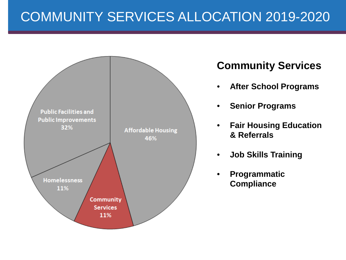## COMMUNITY SERVICES ALLOCATION 2019-2020



#### **Community Services**

- **After School Programs**
- **Senior Programs**
- **Fair Housing Education & Referrals**
- **Job Skills Training**
- **Programmatic Compliance**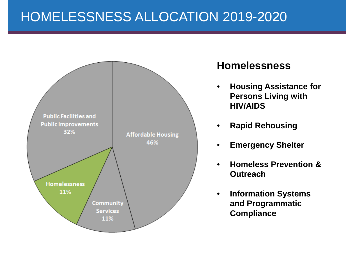### HOMELESSNESS ALLOCATION 2019-2020



#### **Homelessness**

- **Housing Assistance for Persons Living with HIV/AIDS**
- **Rapid Rehousing**
- **Emergency Shelter**
- **Homeless Prevention & Outreach**
- **Information Systems and Programmatic Compliance**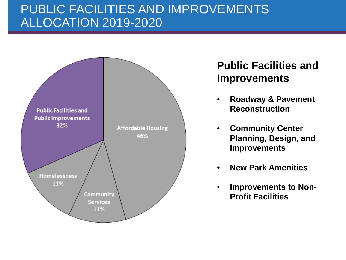#### PUBLIC FACILITIES AND IMPROVEMENTS ALLOCATION 2019-2020



#### **Public Facilities and Improvements**

- **Roadway & Pavement Reconstruction**
- **Community Center Planning, Design, and Improvements**
- **New Park Amenities**
- **Improvements to Non-Profit Facilities**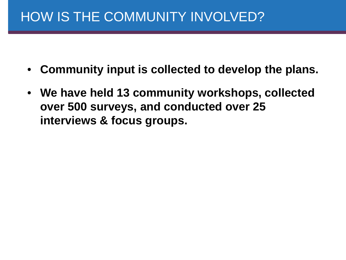### HOW IS THE COMMUNITY INVOLVED?

- **Community input is collected to develop the plans.**
- **We have held 13 community workshops, collected over 500 surveys, and conducted over 25 interviews & focus groups.**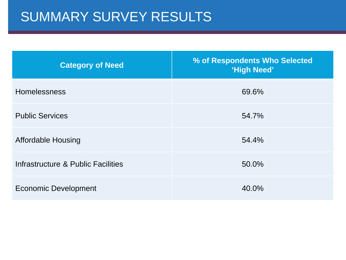### SUMMARY SURVEY RESULTS

| <b>Category of Need</b>            | % of Respondents Who Selected<br>'High Need' |
|------------------------------------|----------------------------------------------|
| <b>Homelessness</b>                | 69.6%                                        |
| <b>Public Services</b>             | 54.7%                                        |
| <b>Affordable Housing</b>          | 54.4%                                        |
| Infrastructure & Public Facilities | 50.0%                                        |
| <b>Economic Development</b>        | 40.0%                                        |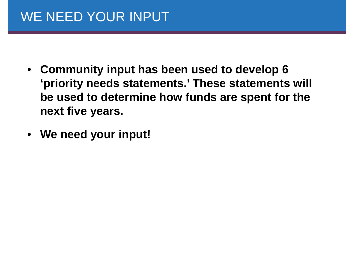## WE NEED YOUR INPUT

- **Community input has been used to develop 6 'priority needs statements.' These statements will be used to determine how funds are spent for the next five years.**
- **We need your input!**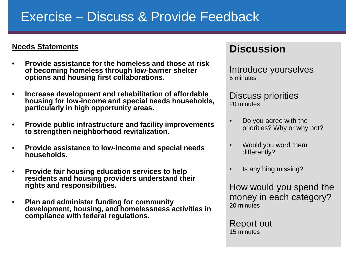#### Exercise – Discuss & Provide Feedback

#### **Needs Statements**

- **Provide assistance for the homeless and those at risk of becoming homeless through low-barrier shelter options and housing first collaborations.**
- **Increase development and rehabilitation of affordable housing for low**‐**income and special needs households, particularly in high opportunity areas.**
- **Provide public infrastructure and facility improvements to strengthen neighborhood revitalization.**
- **Provide assistance to low**‐**income and special needs households.**
- **Provide fair housing education services to help residents and housing providers understand their rights and responsibilities.**
- **Plan and administer funding for community development, housing, and homelessness activities in compliance with federal regulations.**

#### **Discussion**

Introduce yourselves 5 minutes

Discuss priorities 20 minutes

- Do you agree with the priorities? Why or why not?
- Would you word them differently?
- Is anything missing?

How would you spend the money in each category? 20 minutes

Report out 15 minutes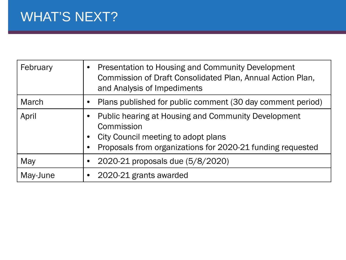## WHAT'S NEXT?

| February | Presentation to Housing and Community Development<br>Commission of Draft Consolidated Plan, Annual Action Plan,<br>and Analysis of Impediments                         |
|----------|------------------------------------------------------------------------------------------------------------------------------------------------------------------------|
| March    | Plans published for public comment (30 day comment period)                                                                                                             |
| April    | Public hearing at Housing and Community Development<br>Commission<br>City Council meeting to adopt plans<br>Proposals from organizations for 2020-21 funding requested |
| May      | 2020-21 proposals due (5/8/2020)                                                                                                                                       |
| May-June | 2020-21 grants awarded                                                                                                                                                 |